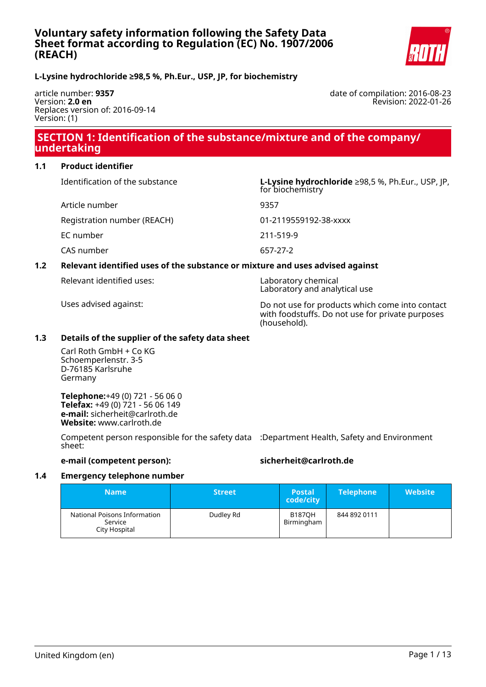

# **L-Lysine hydrochloride ≥98,5 %, Ph.Eur., USP, JP, for biochemistry**

article number: **9357** Version: **2.0 en** Replaces version of: 2016-09-14 Version: (1)

date of compilation: 2016-08-23 Revision: 2022-01-26

# **SECTION 1: Identification of the substance/mixture and of the company/ undertaking**

### **1.1 Product identifier**

Article number 9357

Identification of the substance **L-Lysine hydrochloride** ≥98,5 %, Ph.Eur., USP, JP, for biochemistry

Registration number (REACH) 01-2119559192-38-xxxx

EC number 211-519-9

CAS number 657-27-2

### **1.2 Relevant identified uses of the substance or mixture and uses advised against**

Relevant identified uses: Laboratory chemical

Laboratory and analytical use

Uses advised against: Do not use for products which come into contact with foodstuffs. Do not use for private purposes (household).

### **1.3 Details of the supplier of the safety data sheet**

Carl Roth GmbH + Co KG Schoemperlenstr. 3-5 D-76185 Karlsruhe Germany

**Telephone:**+49 (0) 721 - 56 06 0 **Telefax:** +49 (0) 721 - 56 06 149 **e-mail:** sicherheit@carlroth.de **Website:** www.carlroth.de

Competent person responsible for the safety data :Department Health, Safety and Environment sheet:

### **e-mail (competent person): sicherheit@carlroth.de**

#### **1.4 Emergency telephone number**

| <b>Name</b>                                              | <b>Street</b> | <b>Postal</b><br>code/city  | <b>Telephone</b> | <b>Website</b> |
|----------------------------------------------------------|---------------|-----------------------------|------------------|----------------|
| National Poisons Information<br>Service<br>City Hospital | Dudley Rd     | <b>B187OH</b><br>Birmingham | 844 892 0111     |                |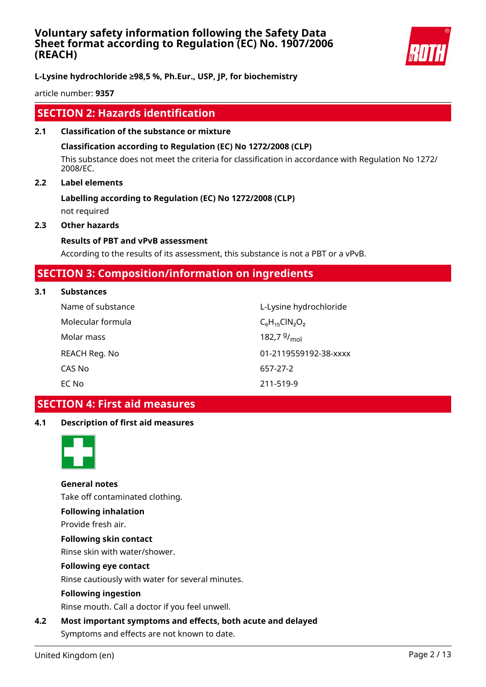

**L-Lysine hydrochloride ≥98,5 %, Ph.Eur., USP, JP, for biochemistry**

article number: **9357**

# **SECTION 2: Hazards identification**

**2.1 Classification of the substance or mixture**

### **Classification according to Regulation (EC) No 1272/2008 (CLP)**

This substance does not meet the criteria for classification in accordance with Regulation No 1272/ 2008/EC.

### **2.2 Label elements**

# **Labelling according to Regulation (EC) No 1272/2008 (CLP)** not required

**2.3 Other hazards**

### **Results of PBT and vPvB assessment**

According to the results of its assessment, this substance is not a PBT or a vPvB.

# **SECTION 3: Composition/information on ingredients**

#### **3.1 Substances**

| Name of substance | L-Lysine hydrochloride  |
|-------------------|-------------------------|
| Molecular formula | $C_6H_{15}CIN_2O_2$     |
| Molar mass        | 182,7 $9/_{\text{mol}}$ |
| REACH Reg. No     | 01-2119559192-38-xxxx   |
| CAS No            | 657-27-2                |
| EC No             | 211-519-9               |

# **SECTION 4: First aid measures**

# **4.1 Description of first aid measures**



**General notes** Take off contaminated clothing.

# **Following inhalation**

Provide fresh air.

**Following skin contact**

Rinse skin with water/shower.

# **Following eye contact**

Rinse cautiously with water for several minutes.

#### **Following ingestion**

Rinse mouth. Call a doctor if you feel unwell.

**4.2 Most important symptoms and effects, both acute and delayed** Symptoms and effects are not known to date.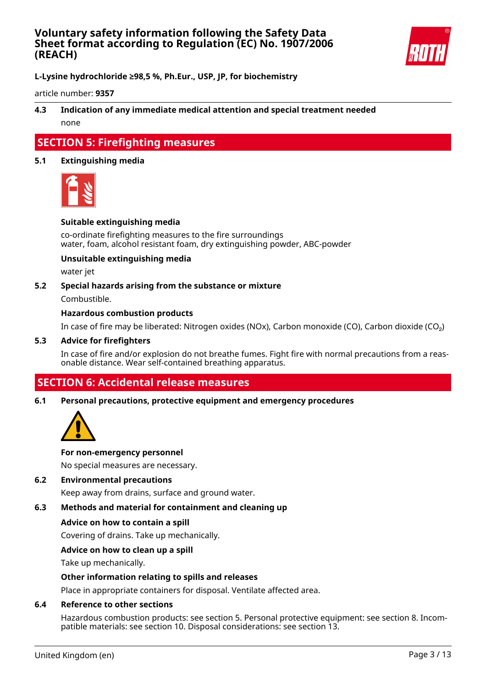

**L-Lysine hydrochloride ≥98,5 %, Ph.Eur., USP, JP, for biochemistry**

article number: **9357**

# **4.3 Indication of any immediate medical attention and special treatment needed** none

# **SECTION 5: Firefighting measures**

### **5.1 Extinguishing media**



#### **Suitable extinguishing media**

co-ordinate firefighting measures to the fire surroundings water, foam, alcohol resistant foam, dry extinguishing powder, ABC-powder

#### **Unsuitable extinguishing media**

water jet

#### **5.2 Special hazards arising from the substance or mixture**

Combustible.

#### **Hazardous combustion products**

In case of fire may be liberated: Nitrogen oxides (NOx), Carbon monoxide (CO), Carbon dioxide (CO₂)

#### **5.3 Advice for firefighters**

In case of fire and/or explosion do not breathe fumes. Fight fire with normal precautions from a reasonable distance. Wear self-contained breathing apparatus.

# **SECTION 6: Accidental release measures**

#### **6.1 Personal precautions, protective equipment and emergency procedures**



#### **For non-emergency personnel**

No special measures are necessary.

#### **6.2 Environmental precautions**

Keep away from drains, surface and ground water.

# **6.3 Methods and material for containment and cleaning up**

#### **Advice on how to contain a spill**

Covering of drains. Take up mechanically.

#### **Advice on how to clean up a spill**

Take up mechanically.

#### **Other information relating to spills and releases**

Place in appropriate containers for disposal. Ventilate affected area.

#### **6.4 Reference to other sections**

Hazardous combustion products: see section 5. Personal protective equipment: see section 8. Incompatible materials: see section 10. Disposal considerations: see section 13.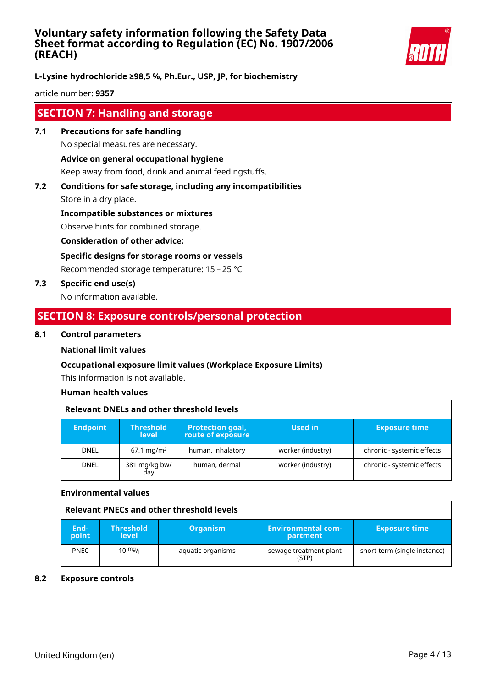

**L-Lysine hydrochloride ≥98,5 %, Ph.Eur., USP, JP, for biochemistry**

article number: **9357**

# **SECTION 7: Handling and storage**

- **7.1 Precautions for safe handling** No special measures are necessary. **Advice on general occupational hygiene** Keep away from food, drink and animal feedingstuffs.
- **7.2 Conditions for safe storage, including any incompatibilities** Store in a dry place.

**Incompatible substances or mixtures**

Observe hints for combined storage.

**Consideration of other advice:**

**Specific designs for storage rooms or vessels**

Recommended storage temperature: 15 – 25 °C

**7.3 Specific end use(s)**

No information available.

# **SECTION 8: Exposure controls/personal protection**

### **8.1 Control parameters**

# **National limit values**

# **Occupational exposure limit values (Workplace Exposure Limits)**

This information is not available.

# **Human health values**

| <b>Relevant DNELs and other threshold levels</b> |                                  |                                              |                   |                            |  |
|--------------------------------------------------|----------------------------------|----------------------------------------------|-------------------|----------------------------|--|
| <b>Endpoint</b>                                  | <b>Threshold</b><br><b>level</b> | <b>Protection goal,</b><br>route of exposure | Used in           | <b>Exposure time</b>       |  |
| <b>DNEL</b>                                      | $67.1 \,\mathrm{mq/m^3}$         | human, inhalatory                            | worker (industry) | chronic - systemic effects |  |
| <b>DNEL</b>                                      | 381 mg/kg bw/<br>day             | human, dermal                                | worker (industry) | chronic - systemic effects |  |

#### **Environmental values**

|               |                                  | Relevant PNECs and other threshold levels |                                       |                              |
|---------------|----------------------------------|-------------------------------------------|---------------------------------------|------------------------------|
| End-<br>point | <b>Threshold</b><br><b>level</b> | <b>Organism</b>                           | <b>Environmental com-</b><br>partment | <b>Exposure time</b>         |
| <b>PNEC</b>   | 10 $mg/1$                        | aquatic organisms                         | sewage treatment plant<br>(STP)       | short-term (single instance) |

#### **8.2 Exposure controls**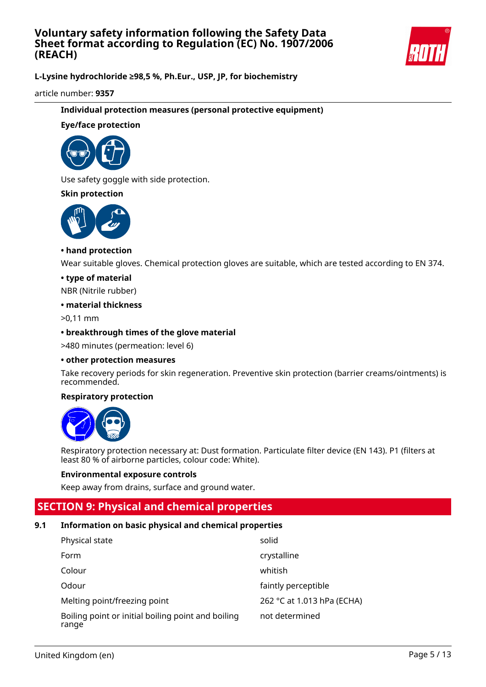

**L-Lysine hydrochloride ≥98,5 %, Ph.Eur., USP, JP, for biochemistry**

article number: **9357**

### **Individual protection measures (personal protective equipment)**

### **Eye/face protection**



Use safety goggle with side protection.

### **Skin protection**



### **• hand protection**

Wear suitable gloves. Chemical protection gloves are suitable, which are tested according to EN 374.

#### **• type of material**

NBR (Nitrile rubber)

#### **• material thickness**

>0,11 mm

### **• breakthrough times of the glove material**

>480 minutes (permeation: level 6)

#### **• other protection measures**

Take recovery periods for skin regeneration. Preventive skin protection (barrier creams/ointments) is recommended.

### **Respiratory protection**



Respiratory protection necessary at: Dust formation. Particulate filter device (EN 143). P1 (filters at least 80 % of airborne particles, colour code: White).

#### **Environmental exposure controls**

Keep away from drains, surface and ground water.

# **SECTION 9: Physical and chemical properties**

# **9.1 Information on basic physical and chemical properties**

| Physical state                                              | solid                      |
|-------------------------------------------------------------|----------------------------|
| Form                                                        | crystalline                |
| Colour                                                      | whitish                    |
| Odour                                                       | faintly perceptible        |
| Melting point/freezing point                                | 262 °C at 1.013 hPa (ECHA) |
| Boiling point or initial boiling point and boiling<br>range | not determined             |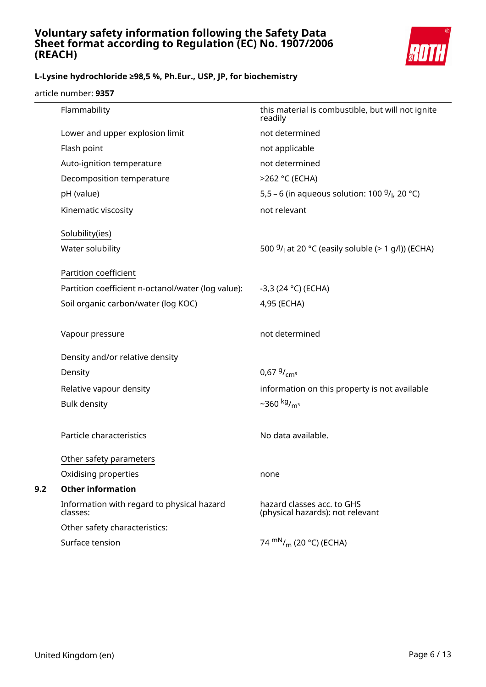

# **L-Lysine hydrochloride ≥98,5 %, Ph.Eur., USP, JP, for biochemistry**

article number: **9357**

|     | Flammability                                           | this material is combustible, but will not ignite<br>readily   |
|-----|--------------------------------------------------------|----------------------------------------------------------------|
|     | Lower and upper explosion limit                        | not determined                                                 |
|     | Flash point                                            | not applicable                                                 |
|     | Auto-ignition temperature                              | not determined                                                 |
|     | Decomposition temperature                              | >262 °C (ECHA)                                                 |
|     | pH (value)                                             | 5,5 – 6 (in aqueous solution: 100 $9/1$ , 20 °C)               |
|     | Kinematic viscosity                                    | not relevant                                                   |
|     | Solubility(ies)                                        |                                                                |
|     | Water solubility                                       | 500 $9/1$ at 20 °C (easily soluble (> 1 g/l)) (ECHA)           |
|     | Partition coefficient                                  |                                                                |
|     | Partition coefficient n-octanol/water (log value):     | $-3,3(24 °C)$ (ECHA)                                           |
|     | Soil organic carbon/water (log KOC)                    | 4,95 (ECHA)                                                    |
|     | Vapour pressure                                        | not determined                                                 |
|     | Density and/or relative density                        |                                                                |
|     | Density                                                | 0,67 $9/_{cm^3}$                                               |
|     | Relative vapour density                                | information on this property is not available                  |
|     | <b>Bulk density</b>                                    | $-360$ kg/ <sub>m<sup>3</sup></sub>                            |
|     | Particle characteristics                               | No data available.                                             |
|     | Other safety parameters                                |                                                                |
|     | Oxidising properties                                   | none                                                           |
| 9.2 | <b>Other information</b>                               |                                                                |
|     | Information with regard to physical hazard<br>classes: | hazard classes acc. to GHS<br>(physical hazards): not relevant |
|     | Other safety characteristics:                          |                                                                |
|     | Surface tension                                        | 74 $\rm{mN}_{/m}$ (20 °C) (ECHA)                               |
|     |                                                        |                                                                |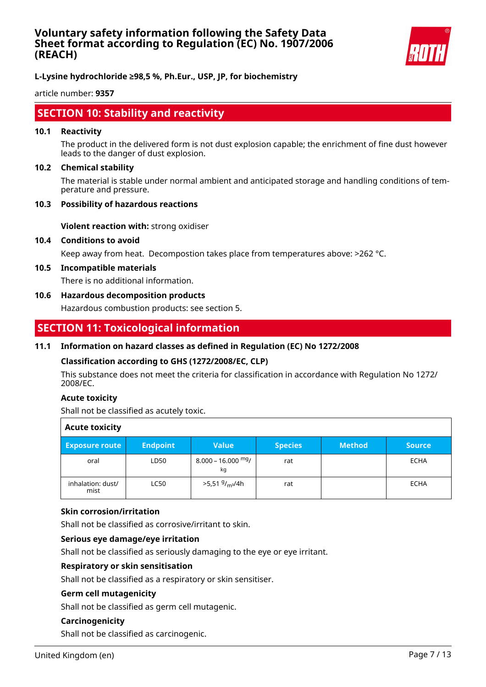

**L-Lysine hydrochloride ≥98,5 %, Ph.Eur., USP, JP, for biochemistry**

article number: **9357**

# **SECTION 10: Stability and reactivity**

#### **10.1 Reactivity**

The product in the delivered form is not dust explosion capable; the enrichment of fine dust however leads to the danger of dust explosion.

#### **10.2 Chemical stability**

The material is stable under normal ambient and anticipated storage and handling conditions of temperature and pressure.

#### **10.3 Possibility of hazardous reactions**

**Violent reaction with:** strong oxidiser

#### **10.4 Conditions to avoid**

Keep away from heat. Decompostion takes place from temperatures above: >262 °C.

#### **10.5 Incompatible materials**

There is no additional information.

#### **10.6 Hazardous decomposition products**

Hazardous combustion products: see section 5.

# **SECTION 11: Toxicological information**

### **11.1 Information on hazard classes as defined in Regulation (EC) No 1272/2008**

#### **Classification according to GHS (1272/2008/EC, CLP)**

This substance does not meet the criteria for classification in accordance with Regulation No 1272/ 2008/EC.

#### **Acute toxicity**

Shall not be classified as acutely toxic.

| <b>Acute toxicity</b>     |                 |                                        |                |               |               |
|---------------------------|-----------------|----------------------------------------|----------------|---------------|---------------|
| <b>Exposure route</b>     | <b>Endpoint</b> | <b>Value</b>                           | <b>Species</b> | <b>Method</b> | <b>Source</b> |
| oral                      | LD50            | $8.000 - 16.000$ mg/<br>kg             | rat            |               | <b>ECHA</b>   |
| inhalation: dust/<br>mist | <b>LC50</b>     | >5,51 <sup>g</sup> / <sub>m3</sub> /4h | rat            |               | <b>ECHA</b>   |

#### **Skin corrosion/irritation**

Shall not be classified as corrosive/irritant to skin.

#### **Serious eye damage/eye irritation**

Shall not be classified as seriously damaging to the eye or eye irritant.

### **Respiratory or skin sensitisation**

Shall not be classified as a respiratory or skin sensitiser.

### **Germ cell mutagenicity**

Shall not be classified as germ cell mutagenic.

### **Carcinogenicity**

Shall not be classified as carcinogenic.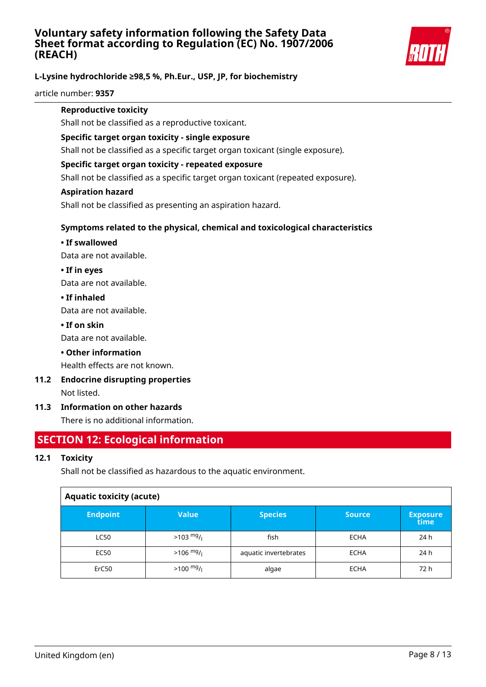

# **L-Lysine hydrochloride ≥98,5 %, Ph.Eur., USP, JP, for biochemistry**

article number: **9357**

### **Reproductive toxicity**

Shall not be classified as a reproductive toxicant.

### **Specific target organ toxicity - single exposure**

Shall not be classified as a specific target organ toxicant (single exposure).

### **Specific target organ toxicity - repeated exposure**

Shall not be classified as a specific target organ toxicant (repeated exposure).

### **Aspiration hazard**

Shall not be classified as presenting an aspiration hazard.

# **Symptoms related to the physical, chemical and toxicological characteristics**

### **• If swallowed**

Data are not available.

### **• If in eyes**

Data are not available.

### **• If inhaled**

Data are not available.

### **• If on skin**

Data are not available.

# **• Other information**

Health effects are not known.

# **11.2 Endocrine disrupting properties**

Not listed.

# **11.3 Information on other hazards**

There is no additional information.

# **SECTION 12: Ecological information**

# **12.1 Toxicity**

Shall not be classified as hazardous to the aquatic environment.

| <b>Aquatic toxicity (acute)</b> |                     |                       |               |                         |
|---------------------------------|---------------------|-----------------------|---------------|-------------------------|
| <b>Endpoint</b>                 | <b>Value</b>        | <b>Species</b>        | <b>Source</b> | <b>Exposure</b><br>time |
| <b>LC50</b>                     | $>103 \frac{mg}{l}$ | fish                  | <b>ECHA</b>   | 24 h                    |
| <b>EC50</b>                     | $>106$ mg/          | aquatic invertebrates | <b>ECHA</b>   | 24 h                    |
| ErC50                           | $>100 \frac{mg}{l}$ | algae                 | <b>ECHA</b>   | 72 h                    |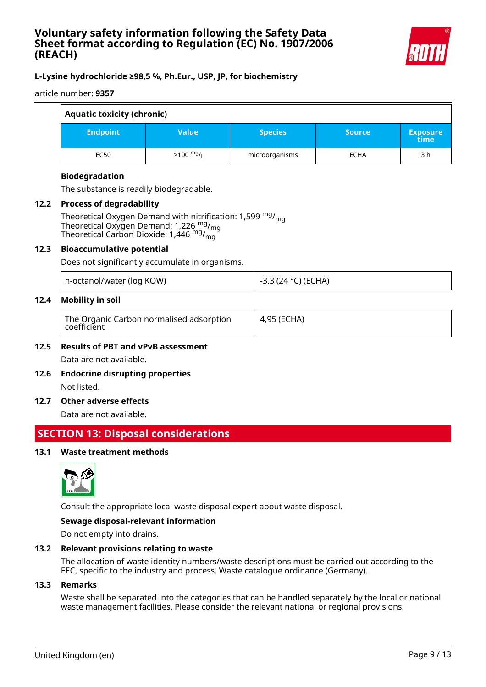

# **L-Lysine hydrochloride ≥98,5 %, Ph.Eur., USP, JP, for biochemistry**

article number: **9357**

| <b>Aquatic toxicity (chronic)</b> |                     |                |               |                         |
|-----------------------------------|---------------------|----------------|---------------|-------------------------|
| <b>Endpoint</b>                   | <b>Value</b>        | <b>Species</b> | <b>Source</b> | <b>Exposure</b><br>time |
| <b>EC50</b>                       | $>100 \frac{mg}{l}$ | microorganisms | <b>ECHA</b>   | 3 h                     |

### **Biodegradation**

The substance is readily biodegradable.

#### **12.2 Process of degradability**

Theoretical Oxygen Demand with nitrification: 1,599  $mg/m<sub>0</sub>$ Theoretical Oxygen Demand: 1,226  $mg/m<sub>g</sub>$ Theoretical Carbon Dioxide: 1,446 mg/mg

#### **12.3 Bioaccumulative potential**

Does not significantly accumulate in organisms.

|  | n-octanol/water (log KOW) |
|--|---------------------------|
|--|---------------------------|

### **12.4 Mobility in soil**

-3,3 (24 °C) (ECHA)

# **12.5 Results of PBT and vPvB assessment** Data are not available.

**12.6 Endocrine disrupting properties** Not listed.

#### **12.7 Other adverse effects**

Data are not available.

# **SECTION 13: Disposal considerations**

### **13.1 Waste treatment methods**



Consult the appropriate local waste disposal expert about waste disposal.

#### **Sewage disposal-relevant information**

Do not empty into drains.

#### **13.2 Relevant provisions relating to waste**

The allocation of waste identity numbers/waste descriptions must be carried out according to the EEC, specific to the industry and process. Waste catalogue ordinance (Germany).

### **13.3 Remarks**

Waste shall be separated into the categories that can be handled separately by the local or national waste management facilities. Please consider the relevant national or regional provisions.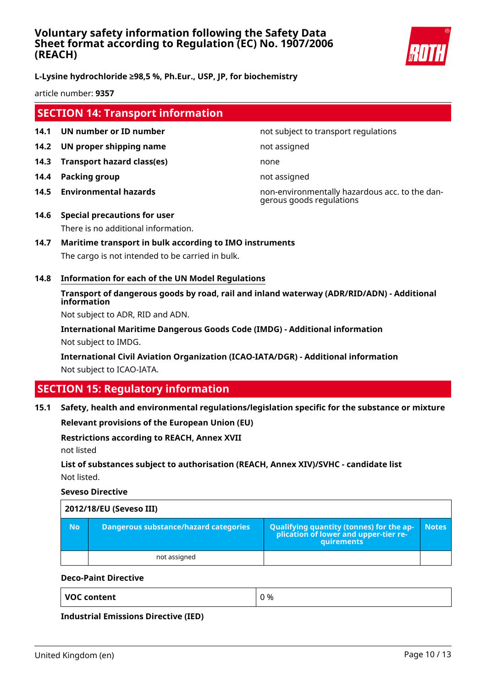

# **L-Lysine hydrochloride ≥98,5 %, Ph.Eur., USP, JP, for biochemistry**

article number: **9357**

# **SECTION 14: Transport information**

- **14.1 UN number or ID number not subject to transport regulations**
- **14.2 UN proper shipping name** not assigned
- **14.3 Transport hazard class(es)** none
- **14.4 Packing group not assigned**
- 

**14.5 Environmental hazards** non-environmentally hazardous acc. to the dangerous goods regulations

- **14.6 Special precautions for user** There is no additional information.
- **14.7 Maritime transport in bulk according to IMO instruments** The cargo is not intended to be carried in bulk.
- **14.8 Information for each of the UN Model Regulations**

# **Transport of dangerous goods by road, rail and inland waterway (ADR/RID/ADN) - Additional information**

Not subject to ADR, RID and ADN.

**International Maritime Dangerous Goods Code (IMDG) - Additional information** Not subject to IMDG.

**International Civil Aviation Organization (ICAO-IATA/DGR) - Additional information** Not subject to ICAO-IATA.

# **SECTION 15: Regulatory information**

**15.1 Safety, health and environmental regulations/legislation specific for the substance or mixture**

**Relevant provisions of the European Union (EU)**

#### **Restrictions according to REACH, Annex XVII**

not listed

# **List of substances subject to authorisation (REACH, Annex XIV)/SVHC - candidate list** Not listed.

**Seveso Directive**

|           | 2012/18/EU (Seveso III)                      |                                                                                                   |              |  |  |  |
|-----------|----------------------------------------------|---------------------------------------------------------------------------------------------------|--------------|--|--|--|
| <b>No</b> | <b>Dangerous substance/hazard categories</b> | Qualifying quantity (tonnes) for the application of lower and upper-tier re-<br><b>auirements</b> | <b>Notes</b> |  |  |  |
|           | not assigned                                 |                                                                                                   |              |  |  |  |

### **Deco-Paint Directive**

**VOC content**  $\begin{array}{ccc} \vert & 0 \end{array}$ 

**Industrial Emissions Directive (IED)**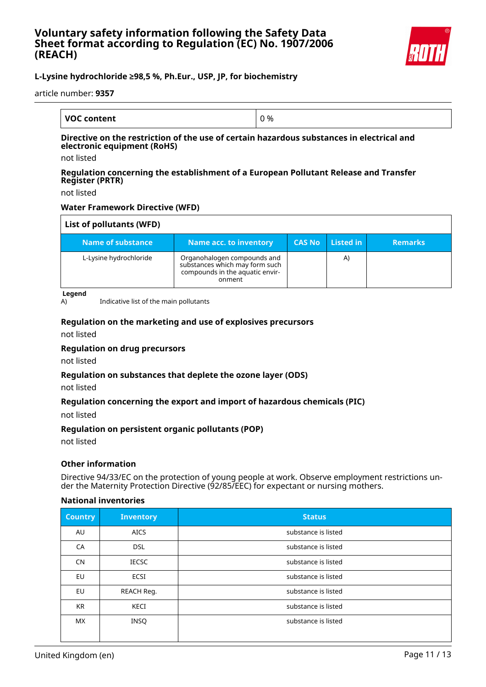

# **L-Lysine hydrochloride ≥98,5 %, Ph.Eur., USP, JP, for biochemistry**

article number: **9357**

| <b>VOC content</b> | J % |
|--------------------|-----|

#### **Directive on the restriction of the use of certain hazardous substances in electrical and electronic equipment (RoHS)**

not listed

#### **Regulation concerning the establishment of a European Pollutant Release and Transfer Register (PRTR)**

not listed

### **Water Framework Directive (WFD)**

| List of pollutants (WFD) |                                                                                                            |               |           |                |
|--------------------------|------------------------------------------------------------------------------------------------------------|---------------|-----------|----------------|
| Name of substance        | Name acc. to inventory                                                                                     | <b>CAS No</b> | Listed in | <b>Remarks</b> |
| L-Lysine hydrochloride   | Organohalogen compounds and<br>substances which may form such<br>compounds in the aquatic envir-<br>onment |               | A)        |                |

**Legend**

A) Indicative list of the main pollutants

### **Regulation on the marketing and use of explosives precursors**

not listed

#### **Regulation on drug precursors**

not listed

#### **Regulation on substances that deplete the ozone layer (ODS)**

not listed

#### **Regulation concerning the export and import of hazardous chemicals (PIC)**

not listed

#### **Regulation on persistent organic pollutants (POP)**

not listed

#### **Other information**

Directive 94/33/EC on the protection of young people at work. Observe employment restrictions under the Maternity Protection Directive (92/85/EEC) for expectant or nursing mothers.

#### **National inventories**

| <b>Country</b> | <b>Inventory</b> | <b>Status</b>       |
|----------------|------------------|---------------------|
| AU             | <b>AICS</b>      | substance is listed |
| CA             | <b>DSL</b>       | substance is listed |
| <b>CN</b>      | <b>IECSC</b>     | substance is listed |
| EU             | <b>ECSI</b>      | substance is listed |
| <b>EU</b>      | REACH Reg.       | substance is listed |
| <b>KR</b>      | KECI             | substance is listed |
| <b>MX</b>      | INSQ             | substance is listed |
|                |                  |                     |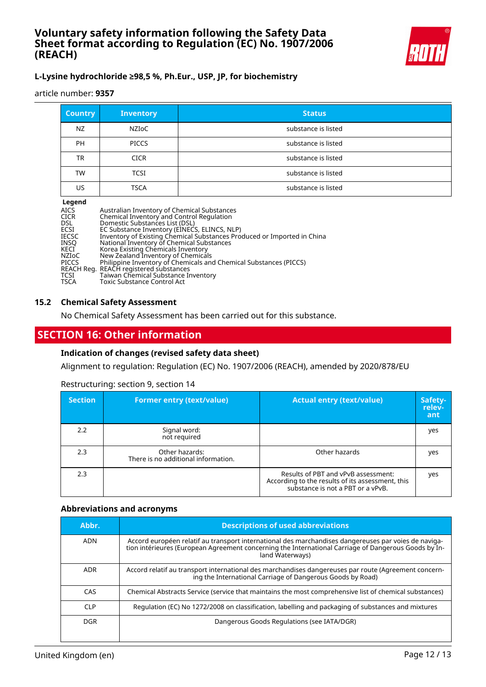

# **L-Lysine hydrochloride ≥98,5 %, Ph.Eur., USP, JP, for biochemistry**

article number: **9357**

| <b>Country</b> | <b>Inventory</b> | <b>Status</b>       |
|----------------|------------------|---------------------|
| NZ             | NZIoC            | substance is listed |
| <b>PH</b>      | <b>PICCS</b>     | substance is listed |
| TR             | <b>CICR</b>      | substance is listed |
| TW             | <b>TCSI</b>      | substance is listed |
| US             | <b>TSCA</b>      | substance is listed |

#### **Legend**

| <b>AICS</b><br><b>CICR</b> | Australian Inventory of Chemical Substances<br>Chemical Inventory and Control Regulation |
|----------------------------|------------------------------------------------------------------------------------------|
| <b>DSL</b>                 | Domestic Substances List (DSL)                                                           |
| ECSI                       | EC Substance Inventory (EINECS, ELINCS, NLP)                                             |
| <b>IECSC</b>               | Inventory of Existing Chemical Substances Produced or Imported in China                  |
| INSO                       | National Inventory of Chemical Substances                                                |
| KECI                       | Korea Existing Chemicals Inventory                                                       |
| <b>NZIOC</b>               | New Zealand Inventory of Chemicals                                                       |
| <b>PICCS</b>               | Philippine Inventory of Chemicals and Chemical Substances (PICCS)                        |
|                            | REACH Reg. REACH registered substances                                                   |
| TCSI                       | Taiwan Chemical Substance Inventory                                                      |
| TSCA                       | Toxic Substance Control Act                                                              |

#### **15.2 Chemical Safety Assessment**

No Chemical Safety Assessment has been carried out for this substance.

# **SECTION 16: Other information**

#### **Indication of changes (revised safety data sheet)**

Alignment to regulation: Regulation (EC) No. 1907/2006 (REACH), amended by 2020/878/EU

#### Restructuring: section 9, section 14

| <b>Section</b> | <b>Former entry (text/value)</b>                      | <b>Actual entry (text/value)</b>                                                                                             | Safety-<br>relev-<br>ant |
|----------------|-------------------------------------------------------|------------------------------------------------------------------------------------------------------------------------------|--------------------------|
| 2.2            | Signal word:<br>not required                          |                                                                                                                              | yes                      |
| 2.3            | Other hazards:<br>There is no additional information. | Other hazards                                                                                                                | yes                      |
| 2.3            |                                                       | Results of PBT and vPvB assessment:<br>According to the results of its assessment, this<br>substance is not a PBT or a vPvB. | yes                      |

#### **Abbreviations and acronyms**

| Abbr.      | <b>Descriptions of used abbreviations</b>                                                                                                                                                                                       |
|------------|---------------------------------------------------------------------------------------------------------------------------------------------------------------------------------------------------------------------------------|
| ADN        | Accord européen relatif au transport international des marchandises dangereuses par voies de naviga-<br>tion intérieures (European Agreement concerning the International Carriage of Dangerous Goods by In-<br>land Waterways) |
| <b>ADR</b> | Accord relatif au transport international des marchandises dangereuses par route (Agreement concern-<br>ing the International Carriage of Dangerous Goods by Road)                                                              |
| CAS        | Chemical Abstracts Service (service that maintains the most comprehensive list of chemical substances)                                                                                                                          |
| <b>CLP</b> | Regulation (EC) No 1272/2008 on classification, labelling and packaging of substances and mixtures                                                                                                                              |
| <b>DGR</b> | Dangerous Goods Regulations (see IATA/DGR)                                                                                                                                                                                      |